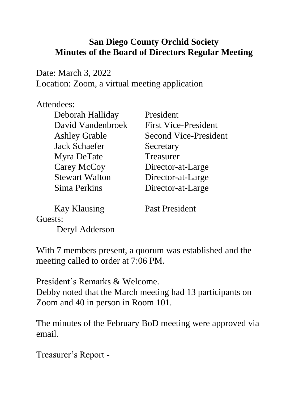## **San Diego County Orchid Society Minutes of the Board of Directors Regular Meeting**

Date: March 3, 2022 Location: Zoom, a virtual meeting application

## Attendees:

| Deborah Halliday      | President                    |
|-----------------------|------------------------------|
| David Vandenbroek     | <b>First Vice-President</b>  |
| <b>Ashley Grable</b>  | <b>Second Vice-President</b> |
| <b>Jack Schaefer</b>  | Secretary                    |
| Myra DeTate           | Treasurer                    |
| Carey McCoy           | Director-at-Large            |
| <b>Stewart Walton</b> | Director-at-Large            |
| Sima Perkins          | Director-at-Large            |
|                       |                              |

Kay Klausing Past President

Guests:

Deryl Adderson

With 7 members present, a quorum was established and the meeting called to order at 7:06 PM.

President's Remarks & Welcome. Debby noted that the March meeting had 13 participants on Zoom and 40 in person in Room 101.

The minutes of the February BoD meeting were approved via email.

Treasurer's Report -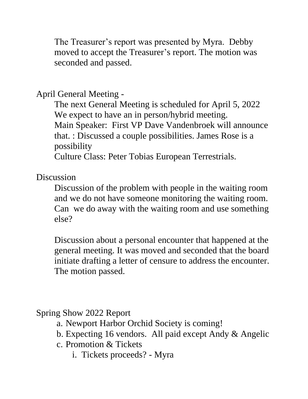The Treasurer's report was presented by Myra. Debby moved to accept the Treasurer's report. The motion was seconded and passed.

April General Meeting -

The next General Meeting is scheduled for April 5, 2022 We expect to have an in person/hybrid meeting. Main Speaker: First VP Dave Vandenbroek will announce that. : Discussed a couple possibilities. James Rose is a possibility

Culture Class: Peter Tobias European Terrestrials.

**Discussion** 

Discussion of the problem with people in the waiting room and we do not have someone monitoring the waiting room. Can we do away with the waiting room and use something else?

Discussion about a personal encounter that happened at the general meeting. It was moved and seconded that the board initiate drafting a letter of censure to address the encounter. The motion passed.

Spring Show 2022 Report

- a. Newport Harbor Orchid Society is coming!
- b. Expecting 16 vendors. All paid except Andy & Angelic
- c. Promotion & Tickets
	- i. Tickets proceeds? Myra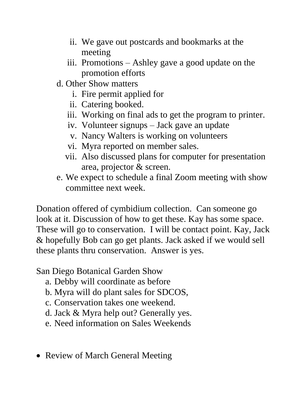- ii. We gave out postcards and bookmarks at the meeting
- iii. Promotions Ashley gave a good update on the promotion efforts
- d. Other Show matters
	- i. Fire permit applied for
	- ii. Catering booked.
	- iii. Working on final ads to get the program to printer.
	- iv. Volunteer signups Jack gave an update
	- v. Nancy Walters is working on volunteers
	- vi. Myra reported on member sales.
	- vii. Also discussed plans for computer for presentation area, projector & screen.
- e. We expect to schedule a final Zoom meeting with show committee next week.

Donation offered of cymbidium collection. Can someone go look at it. Discussion of how to get these. Kay has some space. These will go to conservation. I will be contact point. Kay, Jack & hopefully Bob can go get plants. Jack asked if we would sell these plants thru conservation. Answer is yes.

San Diego Botanical Garden Show

- a. Debby will coordinate as before
- b. Myra will do plant sales for SDCOS,
- c. Conservation takes one weekend.
- d. Jack & Myra help out? Generally yes.
- e. Need information on Sales Weekends
- Review of March General Meeting